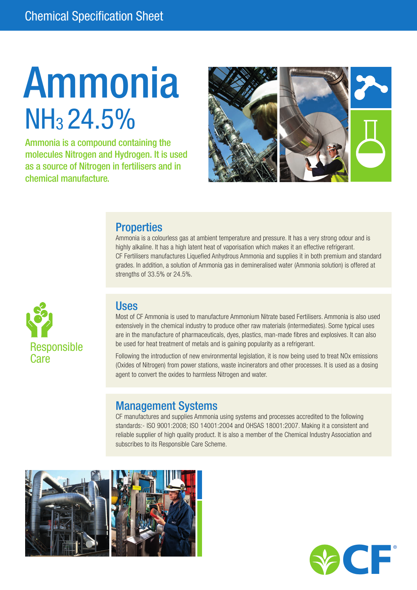# Ammonia NH<sub>3</sub> 24.5%

Ammonia is a compound containing the molecules Nitrogen and Hydrogen. It is used as a source of Nitrogen in fertilisers and in chemical manufacture.



### **Properties**

Ammonia is a colourless gas at ambient temperature and pressure. It has a very strong odour and is highly alkaline. It has a high latent heat of vaporisation which makes it an effective refrigerant. CF Fertilisers manufactures Liquefied Anhydrous Ammonia and supplies it in both premium and standard grades. In addition, a solution of Ammonia gas in demineralised water (Ammonia solution) is offered at strengths of 33.5% or 24.5%.



### Uses

Most of CF Ammonia is used to manufacture Ammonium Nitrate based Fertilisers. Ammonia is also used extensively in the chemical industry to produce other raw materials (intermediates). Some typical uses are in the manufacture of pharmaceuticals, dyes, plastics, man-made fibres and explosives. It can also be used for heat treatment of metals and is gaining popularity as a refrigerant.

Following the introduction of new environmental legislation, it is now being used to treat NOx emissions (Oxides of Nitrogen) from power stations, waste incinerators and other processes. It is used as a dosing agent to convert the oxides to harmless Nitrogen and water.

### Management Systems

CF manufactures and supplies Ammonia using systems and processes accredited to the following standards:- ISO 9001:2008; ISO 14001:2004 and OHSAS 18001:2007. Making it a consistent and reliable supplier of high quality product. It is also a member of the Chemical Industry Association and subscribes to its Responsible Care Scheme.